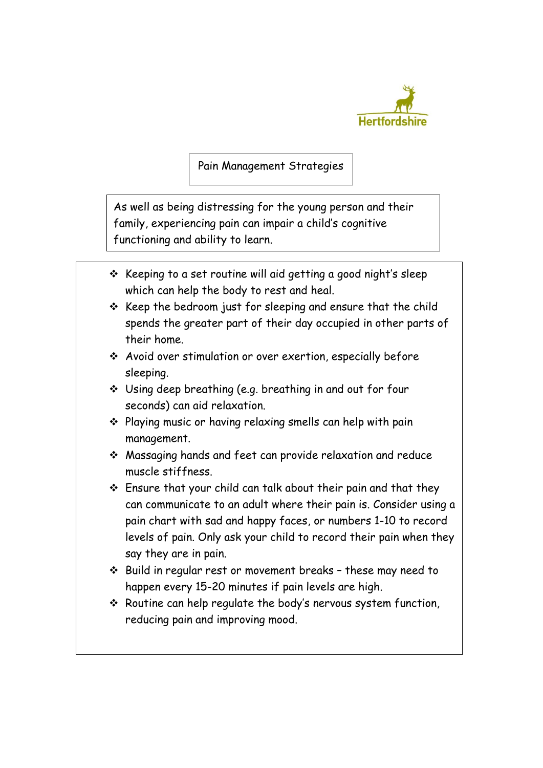

Pain Management Strategies

As well as being distressing for the young person and their family, experiencing pain can impair a child's cognitive functioning and ability to learn.

- $\div$  Keeping to a set routine will aid getting a good night's sleep which can help the body to rest and heal.
- $\div$  Keep the bedroom just for sleeping and ensure that the child spends the greater part of their day occupied in other parts of their home.
- Avoid over stimulation or over exertion, especially before sleeping.
- Using deep breathing (e.g. breathing in and out for four seconds) can aid relaxation.
- Playing music or having relaxing smells can help with pain management.
- Massaging hands and feet can provide relaxation and reduce muscle stiffness.
- Ensure that your child can talk about their pain and that they can communicate to an adult where their pain is. Consider using a pain chart with sad and happy faces, or numbers 1-10 to record levels of pain. Only ask your child to record their pain when they say they are in pain.
- Build in regular rest or movement breaks these may need to happen every 15-20 minutes if pain levels are high.
- $\cdot$  Routine can help regulate the body's nervous system function, reducing pain and improving mood.